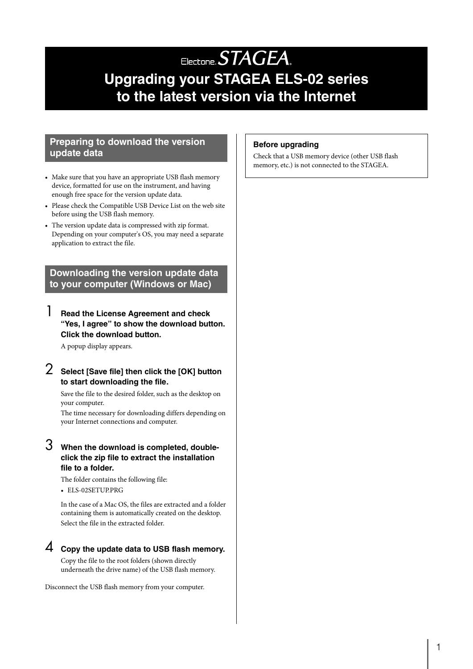# Electone. STAGEA. **Upgrading your STAGEA ELS-02 series to the latest version via the Internet**

#### **Preparing to download the version update data**

- Make sure that you have an appropriate USB flash memory device, formatted for use on the instrument, and having enough free space for the version update data.
- Please check the Compatible USB Device List on the web site before using the USB flash memory.
- The version update data is compressed with zip format. Depending on your computer's OS, you may need a separate application to extract the file.

**Downloading the version update data to your computer (Windows or Mac)**

## 1 **Read the License Agreement and check "Yes, I agree" to show the download button. Click the download button.**

A popup display appears.

## 2 **Select [Save file] then click the [OK] button to start downloading the file.**

Save the file to the desired folder, such as the desktop on your computer.

The time necessary for downloading differs depending on your Internet connections and computer.

### 3 **When the download is completed, doubleclick the zip file to extract the installation file to a folder.**

The folder contains the following file:

• ELS-02SETUP.PRG

In the case of a Mac OS, the files are extracted and a folder containing them is automatically created on the desktop. Select the file in the extracted folder.

## 4 **Copy the update data to USB flash memory.**

Copy the file to the root folders (shown directly underneath the drive name) of the USB flash memory.

Disconnect the USB flash memory from your computer.

#### **Before upgrading**

Check that a USB memory device (other USB flash memory, etc.) is not connected to the STAGEA.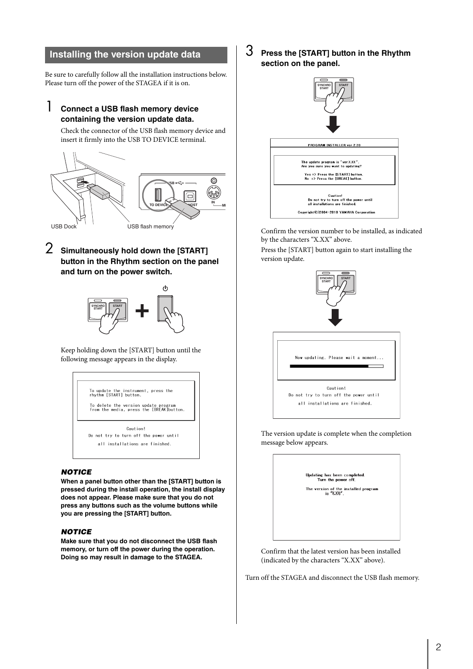#### **Installing the version update data**

Be sure to carefully follow all the installation instructions below. Please turn off the power of the STAGEA if it is on.

## 1 **Connect a USB flash memory device containing the version update data.**

Check the connector of the USB flash memory device and insert it firmly into the USB TO DEVICE terminal.



## 2 **Simultaneously hold down the [START] button in the Rhythm section on the panel and turn on the power switch.**



Keep holding down the [START] button until the following message appears in the display.



#### *NOTICE*

**When a panel button other than the [START] button is pressed during the install operation, the install display does not appear. Please make sure that you do not press any buttons such as the volume buttons while you are pressing the [START] button.**

#### *NOTICE*

**Make sure that you do not disconnect the USB flash memory, or turn off the power during the operation. Doing so may result in damage to the STAGEA.**

3 **Press the [START] button in the Rhythm section on the panel.**



Confirm the version number to be installed, as indicated by the characters "X.XX" above.

Press the [START] button again to start installing the version update.



The version update is complete when the completion message below appears.



Confirm that the latest version has been installed (indicated by the characters "X.XX" above).

Turn off the STAGEA and disconnect the USB flash memory.